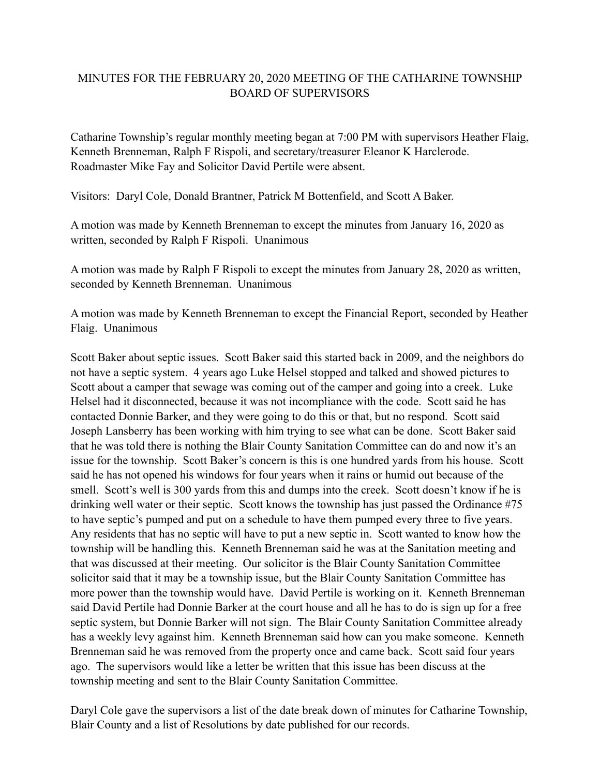## MINUTES FOR THE FEBRUARY 20, 2020 MEETING OF THE CATHARINE TOWNSHIP BOARD OF SUPERVISORS

Catharine Township's regular monthly meeting began at 7:00 PM with supervisors Heather Flaig, Kenneth Brenneman, Ralph F Rispoli, and secretary/treasurer Eleanor K Harclerode. Roadmaster Mike Fay and Solicitor David Pertile were absent.

Visitors: Daryl Cole, Donald Brantner, Patrick M Bottenfield, and Scott A Baker.

A motion was made by Kenneth Brenneman to except the minutes from January 16, 2020 as written, seconded by Ralph F Rispoli. Unanimous

A motion was made by Ralph F Rispoli to except the minutes from January 28, 2020 as written, seconded by Kenneth Brenneman. Unanimous

A motion was made by Kenneth Brenneman to except the Financial Report, seconded by Heather Flaig. Unanimous

Scott Baker about septic issues. Scott Baker said this started back in 2009, and the neighbors do not have a septic system. 4 years ago Luke Helsel stopped and talked and showed pictures to Scott about a camper that sewage was coming out of the camper and going into a creek. Luke Helsel had it disconnected, because it was not incompliance with the code. Scott said he has contacted Donnie Barker, and they were going to do this or that, but no respond. Scott said Joseph Lansberry has been working with him trying to see what can be done. Scott Baker said that he was told there is nothing the Blair County Sanitation Committee can do and now it's an issue for the township. Scott Baker's concern is this is one hundred yards from his house. Scott said he has not opened his windows for four years when it rains or humid out because of the smell. Scott's well is 300 yards from this and dumps into the creek. Scott doesn't know if he is drinking well water or their septic. Scott knows the township has just passed the Ordinance #75 to have septic's pumped and put on a schedule to have them pumped every three to five years. Any residents that has no septic will have to put a new septic in. Scott wanted to know how the township will be handling this. Kenneth Brenneman said he was at the Sanitation meeting and that was discussed at their meeting. Our solicitor is the Blair County Sanitation Committee solicitor said that it may be a township issue, but the Blair County Sanitation Committee has more power than the township would have. David Pertile is working on it. Kenneth Brenneman said David Pertile had Donnie Barker at the court house and all he has to do is sign up for a free septic system, but Donnie Barker will not sign. The Blair County Sanitation Committee already has a weekly levy against him. Kenneth Brenneman said how can you make someone. Kenneth Brenneman said he was removed from the property once and came back. Scott said four years ago. The supervisors would like a letter be written that this issue has been discuss at the township meeting and sent to the Blair County Sanitation Committee.

Daryl Cole gave the supervisors a list of the date break down of minutes for Catharine Township, Blair County and a list of Resolutions by date published for our records.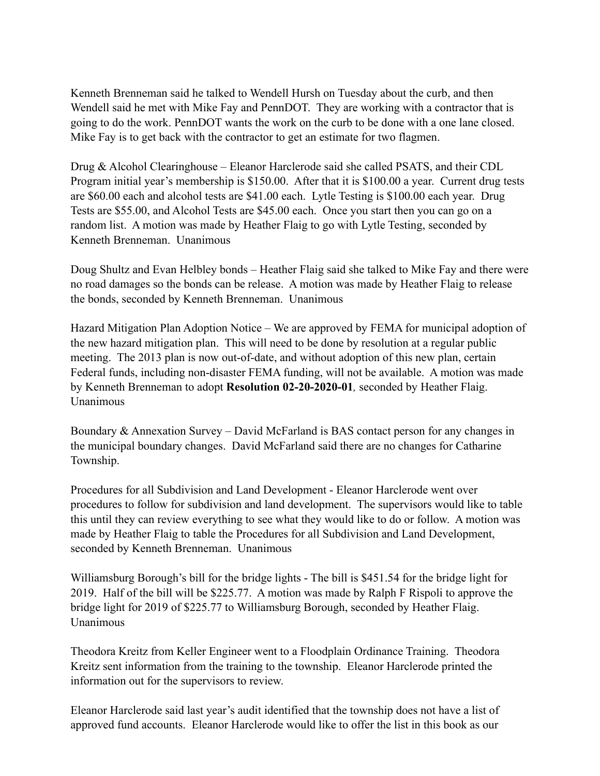Kenneth Brenneman said he talked to Wendell Hursh on Tuesday about the curb, and then Wendell said he met with Mike Fay and PennDOT. They are working with a contractor that is going to do the work. PennDOT wants the work on the curb to be done with a one lane closed. Mike Fay is to get back with the contractor to get an estimate for two flagmen.

Drug & Alcohol Clearinghouse – Eleanor Harclerode said she called PSATS, and their CDL Program initial year's membership is \$150.00. After that it is \$100.00 a year. Current drug tests are \$60.00 each and alcohol tests are \$41.00 each. Lytle Testing is \$100.00 each year. Drug Tests are \$55.00, and Alcohol Tests are \$45.00 each. Once you start then you can go on a random list. A motion was made by Heather Flaig to go with Lytle Testing, seconded by Kenneth Brenneman. Unanimous

Doug Shultz and Evan Helbley bonds – Heather Flaig said she talked to Mike Fay and there were no road damages so the bonds can be release. A motion was made by Heather Flaig to release the bonds, seconded by Kenneth Brenneman. Unanimous

Hazard Mitigation Plan Adoption Notice – We are approved by FEMA for municipal adoption of the new hazard mitigation plan. This will need to be done by resolution at a regular public meeting. The 2013 plan is now out-of-date, and without adoption of this new plan, certain Federal funds, including non-disaster FEMA funding, will not be available. A motion was made by Kenneth Brenneman to adopt **Resolution 02-20-2020-01***,* seconded by Heather Flaig. Unanimous

Boundary & Annexation Survey – David McFarland is BAS contact person for any changes in the municipal boundary changes. David McFarland said there are no changes for Catharine Township.

Procedures for all Subdivision and Land Development - Eleanor Harclerode went over procedures to follow for subdivision and land development. The supervisors would like to table this until they can review everything to see what they would like to do or follow. A motion was made by Heather Flaig to table the Procedures for all Subdivision and Land Development, seconded by Kenneth Brenneman. Unanimous

Williamsburg Borough's bill for the bridge lights - The bill is \$451.54 for the bridge light for 2019. Half of the bill will be \$225.77. A motion was made by Ralph F Rispoli to approve the bridge light for 2019 of \$225.77 to Williamsburg Borough, seconded by Heather Flaig. Unanimous

Theodora Kreitz from Keller Engineer went to a Floodplain Ordinance Training. Theodora Kreitz sent information from the training to the township. Eleanor Harclerode printed the information out for the supervisors to review.

Eleanor Harclerode said last year's audit identified that the township does not have a list of approved fund accounts. Eleanor Harclerode would like to offer the list in this book as our